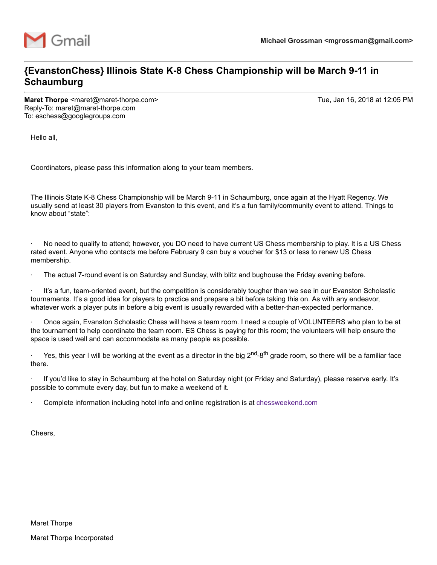

## **{EvanstonChess} Illinois State K-8 Chess Championship will be March 9-11 in Schaumburg**

**Maret Thorpe** <maret@maret-thorpe.com> Tue, Jan 16, 2018 at 12:05 PM Reply-To: maret@maret-thorpe.com To: eschess@googlegroups.com

Hello all,

Coordinators, please pass this information along to your team members.

The Illinois State K-8 Chess Championship will be March 9-11 in Schaumburg, once again at the Hyatt Regency. We usually send at least 30 players from Evanston to this event, and it's a fun family/community event to attend. Things to know about "state":

· No need to qualify to attend; however, you DO need to have current US Chess membership to play. It is a US Chess rated event. Anyone who contacts me before February 9 can buy a voucher for \$13 or less to renew US Chess membership.

The actual 7-round event is on Saturday and Sunday, with blitz and bughouse the Friday evening before.

It's a fun, team-oriented event, but the competition is considerably tougher than we see in our Evanston Scholastic tournaments. It's a good idea for players to practice and prepare a bit before taking this on. As with any endeavor, whatever work a player puts in before a big event is usually rewarded with a better-than-expected performance.

· Once again, Evanston Scholastic Chess will have a team room. I need a couple of VOLUNTEERS who plan to be at the tournament to help coordinate the team room. ES Chess is paying for this room; the volunteers will help ensure the space is used well and can accommodate as many people as possible.

 $\cdot$  Yes, this year I will be working at the event as a director in the big 2<sup>nd</sup>-8<sup>th</sup> grade room, so there will be a familiar face there.

· If you'd like to stay in Schaumburg at the hotel on Saturday night (or Friday and Saturday), please reserve early. It's possible to commute every day, but fun to make a weekend of it.

· Complete information including hotel info and online registration is at chessweekend.com

Cheers,